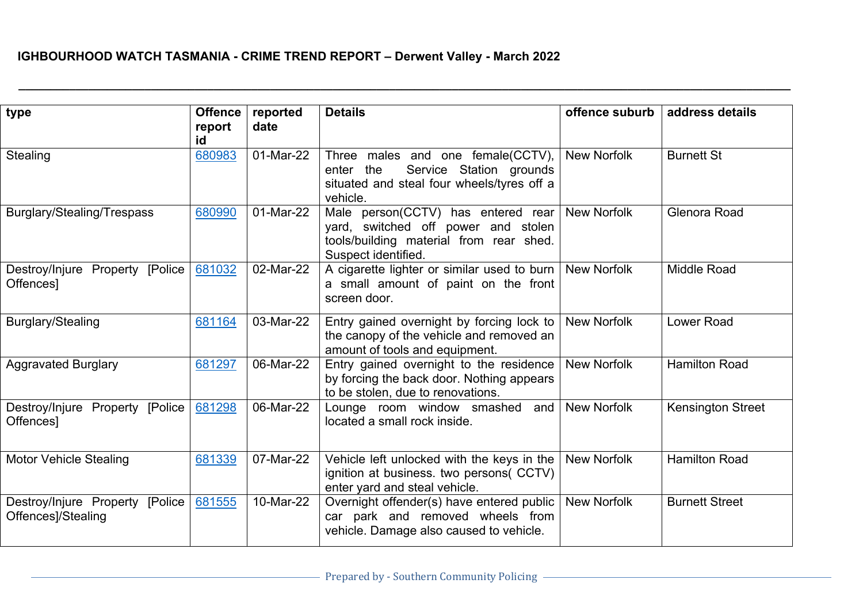| type                                                    | <b>Offence</b><br>report<br>id | reported<br>date | <b>Details</b>                                                                                                                              | offence suburb     | address details          |
|---------------------------------------------------------|--------------------------------|------------------|---------------------------------------------------------------------------------------------------------------------------------------------|--------------------|--------------------------|
| Stealing                                                | 680983                         | 01-Mar-22        | Three males and one female(CCTV),<br>Service Station grounds<br>enter the<br>situated and steal four wheels/tyres off a<br>vehicle.         | <b>New Norfolk</b> | <b>Burnett St</b>        |
| Burglary/Stealing/Trespass                              | 680990                         | 01-Mar-22        | Male person(CCTV) has entered rear<br>yard, switched off power and stolen<br>tools/building material from rear shed.<br>Suspect identified. | <b>New Norfolk</b> | Glenora Road             |
| Destroy/Injure Property [Police<br>Offences]            | 681032                         | 02-Mar-22        | A cigarette lighter or similar used to burn<br>a small amount of paint on the front<br>screen door.                                         | <b>New Norfolk</b> | <b>Middle Road</b>       |
| Burglary/Stealing                                       | 681164                         | 03-Mar-22        | Entry gained overnight by forcing lock to<br>the canopy of the vehicle and removed an<br>amount of tools and equipment.                     | <b>New Norfolk</b> | Lower Road               |
| <b>Aggravated Burglary</b>                              | 681297                         | 06-Mar-22        | Entry gained overnight to the residence<br>by forcing the back door. Nothing appears<br>to be stolen, due to renovations.                   | <b>New Norfolk</b> | <b>Hamilton Road</b>     |
| Destroy/Injure Property [Police  <br>Offences]          | 681298                         | 06-Mar-22        | Lounge room window smashed and<br>located a small rock inside.                                                                              | <b>New Norfolk</b> | <b>Kensington Street</b> |
| <b>Motor Vehicle Stealing</b>                           | 681339                         | 07-Mar-22        | Vehicle left unlocked with the keys in the<br>ignition at business. two persons( CCTV)<br>enter yard and steal vehicle.                     | <b>New Norfolk</b> | <b>Hamilton Road</b>     |
| Destroy/Injure Property [Police  <br>Offences]/Stealing | 681555                         | 10-Mar-22        | Overnight offender(s) have entered public<br>car park and removed wheels from<br>vehicle. Damage also caused to vehicle.                    | <b>New Norfolk</b> | <b>Burnett Street</b>    |

**\_\_\_\_\_\_\_\_\_\_\_\_\_\_\_\_\_\_\_\_\_\_\_\_\_\_\_\_\_\_\_\_\_\_\_\_\_\_\_\_\_\_\_\_\_\_\_\_\_\_\_\_\_\_\_\_\_\_\_\_\_\_\_\_\_\_\_\_\_\_\_\_\_\_\_\_\_\_\_\_\_\_\_\_\_\_\_\_\_\_\_\_\_\_\_\_\_\_\_\_\_\_\_\_\_\_\_\_\_\_\_\_\_\_\_\_\_\_\_\_\_\_\_\_\_\_**